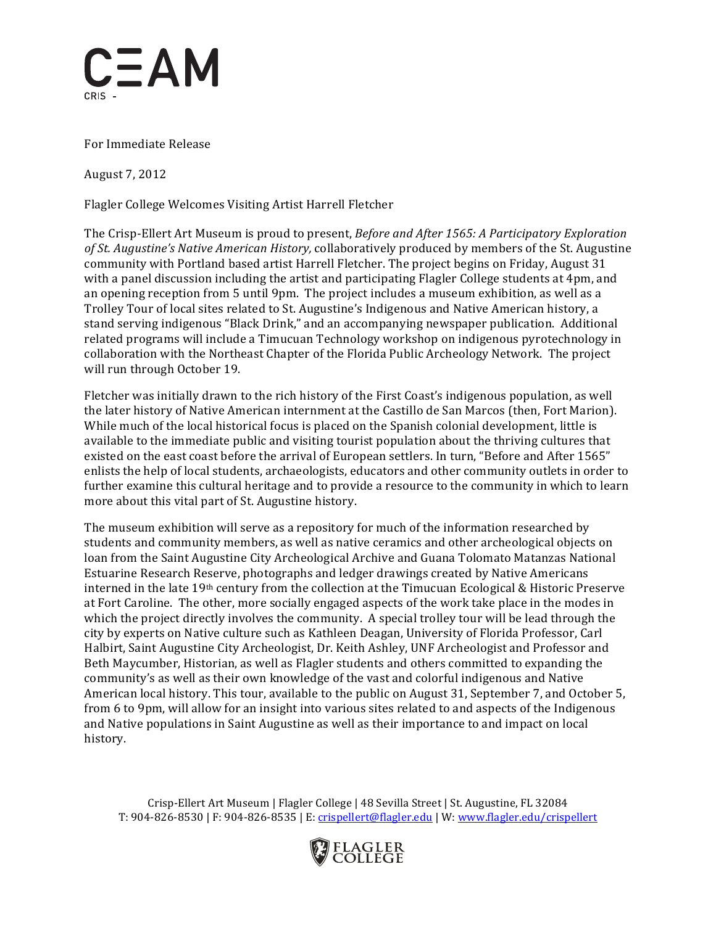

 For Immediate Release

 August 7, 2012

Flagler College Welcomes Visiting Artist Harrell Fletcher

  The Crisp-Ellert Art Museum is proud to present, *Before and After 1565: A Participatory Exploration* of St. Augustine's Native American History, collaboratively produced by members of the St. Augustine community with Portland based artist Harrell Fletcher. The project begins on Friday, August 31 with a panel discussion including the artist and participating Flagler College students at 4pm, and an opening reception from 5 until 9pm. The project includes a museum exhibition, as well as a Trolley Tour of local sites related to St. Augustine's Indigenous and Native American history, a stand serving indigenous "Black Drink," and an accompanying newspaper publication. Additional related programs will include a Timucuan Technology workshop on indigenous pyrotechnology in collaboration with the Northeast Chapter of the Florida Public Archeology Network. The project will run through October 19.

Fletcher was initially drawn to the rich history of the First Coast's indigenous population, as well the later history of Native American internment at the Castillo de San Marcos (then, Fort Marion). While much of the local historical focus is placed on the Spanish colonial development, little is available to the immediate public and visiting tourist population about the thriving cultures that existed on the east coast before the arrival of European settlers. In turn, "Before and After 1565" enlists the help of local students, archaeologists, educators and other community outlets in order to further examine this cultural heritage and to provide a resource to the community in which to learn more about this vital part of St. Augustine history. 

The museum exhibition will serve as a repository for much of the information researched by students and community members, as well as native ceramics and other archeological objects on loan from the Saint Augustine City Archeological Archive and Guana Tolomato Matanzas National Estuarine Research Reserve, photographs and ledger drawings created by Native Americans interned in the late 19<sup>th</sup> century from the collection at the Timucuan Ecological & Historic Preserve at Fort Caroline. The other, more socially engaged aspects of the work take place in the modes in which the project directly involves the community. A special trolley tour will be lead through the city by experts on Native culture such as Kathleen Deagan, University of Florida Professor, Carl Halbirt, Saint Augustine City Archeologist, Dr. Keith Ashley, UNF Archeologist and Professor and Beth Maycumber, Historian, as well as Flagler students and others committed to expanding the community's as well as their own knowledge of the vast and colorful indigenous and Native American local history. This tour, available to the public on August 31, September 7, and October 5, from 6 to 9pm, will allow for an insight into various sites related to and aspects of the Indigenous and Native populations in Saint Augustine as well as their importance to and impact on local history.

 Crisp-Ellert Art Museum | Flagler College | 48 Sevilla Street | St. Augustine, FL 32084 T: 904-826-8530 | F: 904-826-8535 | E: <u>crispellert@flagler.edu</u> | W: <u>www.flagler.edu/crispellert</u>